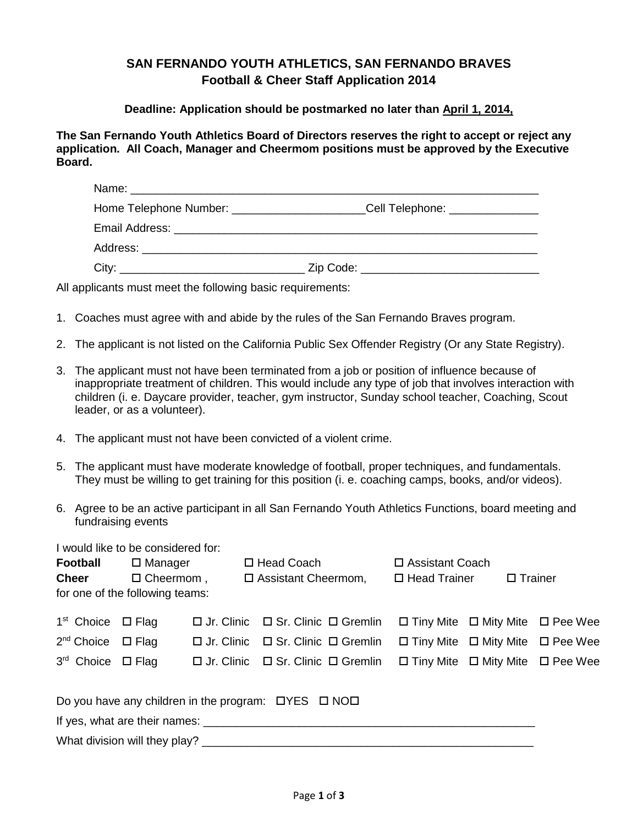## **SAN FERNANDO YOUTH ATHLETICS, SAN FERNANDO BRAVES Football & Cheer Staff Application 2014**

## **Deadline: Application should be postmarked no later than April 1, 2014,**

**The San Fernando Youth Athletics Board of Directors reserves the right to accept or reject any application. All Coach, Manager and Cheermom positions must be approved by the Executive Board.**

| Home Telephone Number: ______________________                                | _Cell Telephone: ______________ |
|------------------------------------------------------------------------------|---------------------------------|
|                                                                              |                                 |
|                                                                              |                                 |
| City:<br><u> 1989 - Andrea Stadt Britain, amerikansk politiker (d. 1989)</u> | Zip Code: _                     |

All applicants must meet the following basic requirements:

- 1. Coaches must agree with and abide by the rules of the San Fernando Braves program.
- 2. The applicant is not listed on the California Public Sex Offender Registry (Or any State Registry).
- 3. The applicant must not have been terminated from a job or position of influence because of inappropriate treatment of children. This would include any type of job that involves interaction with children (i. e. Daycare provider, teacher, gym instructor, Sunday school teacher, Coaching, Scout leader, or as a volunteer).
- 4. The applicant must not have been convicted of a violent crime.
- 5. The applicant must have moderate knowledge of football, proper techniques, and fundamentals. They must be willing to get training for this position (i. e. coaching camps, books, and/or videos).
- 6. Agree to be an active participant in all San Fernando Youth Athletics Functions, board meeting and fundraising events

I would like to be considered for:

| <b>Football</b>                                                                                                                        | $\square$ Manager          |  | □ Head Coach                                                                                                                                                   | □ Assistant Coach                                                                                                                                        |  |                |  |  |
|----------------------------------------------------------------------------------------------------------------------------------------|----------------------------|--|----------------------------------------------------------------------------------------------------------------------------------------------------------------|----------------------------------------------------------------------------------------------------------------------------------------------------------|--|----------------|--|--|
| <b>Cheer</b>                                                                                                                           | $\Box$ Cheermom,           |  | $\Box$ Assistant Cheermom,                                                                                                                                     | $\Box$ Head Trainer                                                                                                                                      |  | $\Box$ Trainer |  |  |
| for one of the following teams:                                                                                                        |                            |  |                                                                                                                                                                |                                                                                                                                                          |  |                |  |  |
| 1 <sup>st</sup> Choice<br>2 <sup>nd</sup> Choice<br>3rd Choice $\Box$ Flag                                                             | $\Box$ Flag<br>$\Box$ Flag |  | $\Box$ Jr. Clinic $\Box$ Sr. Clinic $\Box$ Gremlin<br>$\Box$ Jr. Clinic $\Box$ Sr. Clinic $\Box$ Gremlin<br>$\Box$ Jr. Clinic $\Box$ Sr. Clinic $\Box$ Gremlin | $\Box$ Tiny Mite $\Box$ Mity Mite $\Box$ Pee Wee<br>$\Box$ Tiny Mite $\Box$ Mity Mite $\Box$ Pee Wee<br>$\Box$ Tiny Mite $\Box$ Mity Mite $\Box$ Pee Wee |  |                |  |  |
| Do you have any children in the program: $\Box$ YES $\Box$ NO $\Box$<br>If yes, what are their names:<br>What division will they play? |                            |  |                                                                                                                                                                |                                                                                                                                                          |  |                |  |  |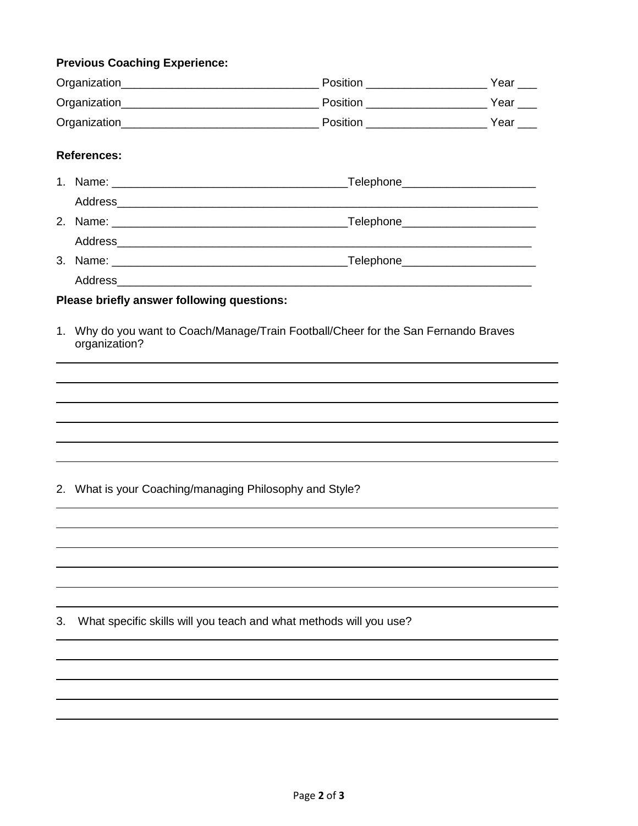## **Previous Coaching Experience:**

|    | <b>References:</b>                                      |                                                                                     |  |
|----|---------------------------------------------------------|-------------------------------------------------------------------------------------|--|
|    |                                                         |                                                                                     |  |
|    |                                                         |                                                                                     |  |
|    |                                                         |                                                                                     |  |
|    |                                                         |                                                                                     |  |
|    |                                                         |                                                                                     |  |
|    |                                                         |                                                                                     |  |
|    | Please briefly answer following questions:              |                                                                                     |  |
|    | organization?                                           | 1. Why do you want to Coach/Manage/Train Football/Cheer for the San Fernando Braves |  |
|    |                                                         |                                                                                     |  |
|    |                                                         |                                                                                     |  |
|    |                                                         |                                                                                     |  |
|    |                                                         |                                                                                     |  |
|    |                                                         |                                                                                     |  |
|    |                                                         |                                                                                     |  |
|    | 2. What is your Coaching/managing Philosophy and Style? |                                                                                     |  |
|    |                                                         |                                                                                     |  |
|    |                                                         |                                                                                     |  |
|    |                                                         |                                                                                     |  |
|    |                                                         |                                                                                     |  |
|    |                                                         |                                                                                     |  |
| З. |                                                         | What specific skills will you teach and what methods will you use?                  |  |
|    |                                                         |                                                                                     |  |
|    |                                                         |                                                                                     |  |
|    |                                                         |                                                                                     |  |